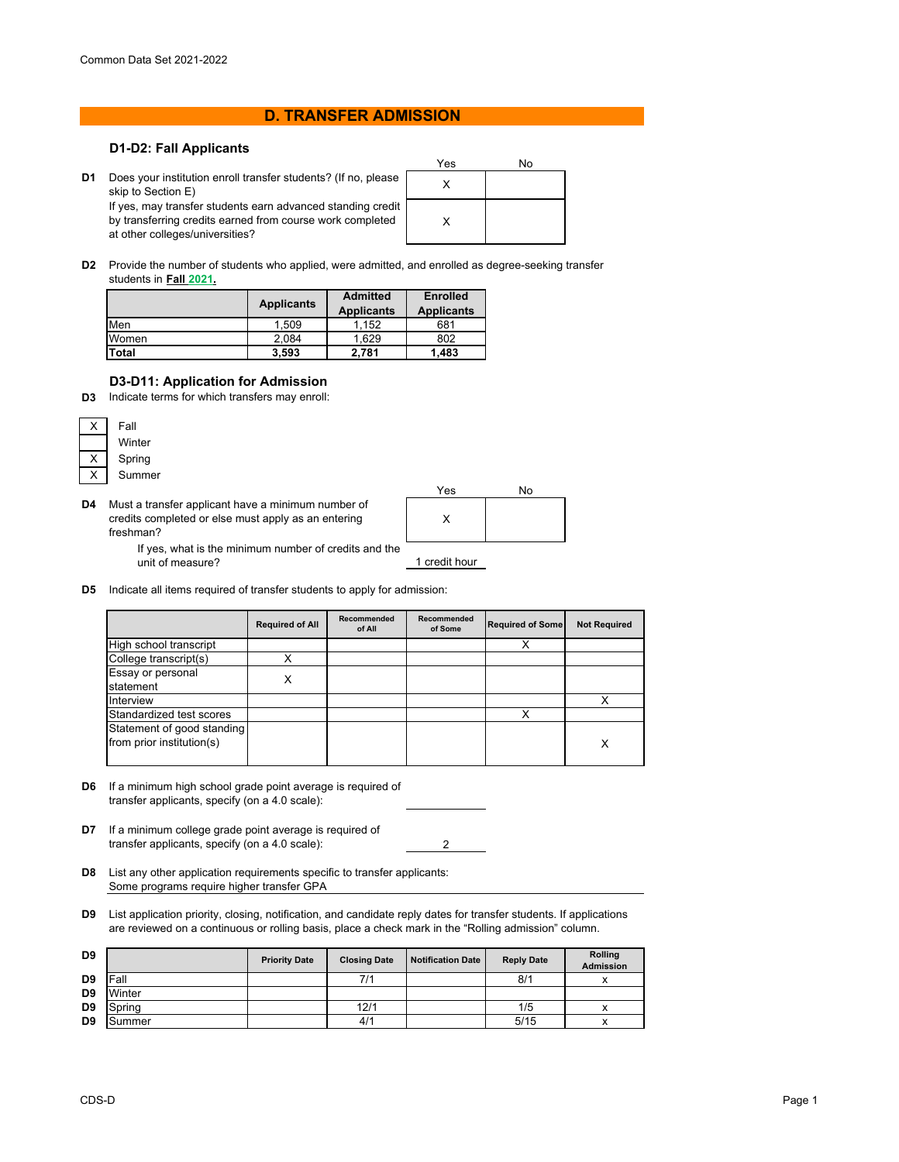## **D. TRANSFER ADMISSION**

## **D1-D2: Fall Applicants**

- Yes No **D1** Does your institution enroll transfer students? (If no, please  $\begin{matrix} \phantom{\big|}} & \phantom{\big|} & \phantom{\big|} \end{matrix}$ X skip to Section E) If yes, may transfer students earn advanced standing credit by transferring credits earned from course work completed at other colleges/universities?
- **D2** Provide the number of students who applied, were admitted, and enrolled as degree-seeking transfer students in **Fall 2021.**

|       | <b>Applicants</b> | <b>Admitted</b><br><b>Applicants</b> | <b>Enrolled</b><br><b>Applicants</b> |  |
|-------|-------------------|--------------------------------------|--------------------------------------|--|
| Men   | 1.509             | 1.152                                | 681                                  |  |
| Women | 2.084             | 1.629                                | 802                                  |  |
| Total | 3,593             | 2,781                                | 1,483                                |  |

## **D3-D11: Application for Admission**

**D3** Indicate terms for which transfers may enroll:

|  | Fall   |
|--|--------|
|  | Winter |
|  | Spring |
|  | Summer |

**D4** Must a transfer applicant have a minimum number of credits completed or else must apply as an entering freshman?



If yes, what is the minimum number of credits and the unit of measure?

**D5** Indicate all items required of transfer students to apply for admission:

|                                                         | <b>Required of All</b> | Recommended<br>of All | Recommended<br>of Some | <b>Required of Some</b> | <b>Not Required</b> |
|---------------------------------------------------------|------------------------|-----------------------|------------------------|-------------------------|---------------------|
| High school transcript                                  |                        |                       |                        |                         |                     |
| College transcript(s)                                   |                        |                       |                        |                         |                     |
| Essay or personal<br>statement                          | х                      |                       |                        |                         |                     |
| Interview                                               |                        |                       |                        |                         |                     |
| Standardized test scores                                |                        |                       |                        |                         |                     |
| Statement of good standing<br>from prior institution(s) |                        |                       |                        |                         | X                   |

 $\overline{2}$ 

- **D6** If a minimum high school grade point average is required of transfer applicants, specify (on a 4.0 scale):
- **D7** If a minimum college grade point average is required of transfer applicants, specify (on a 4.0 scale):
- **D8** List any other application requirements specific to transfer applicants: Some programs require higher transfer GPA
- **D9** List application priority, closing, notification, and candidate reply dates for transfer students. If applications are reviewed on a continuous or rolling basis, place a check mark in the "Rolling admission" column.

| D <sub>9</sub> |        | <b>Priority Date</b> | <b>Closing Date</b> | <b>Notification Date</b> | <b>Reply Date</b> | Rolling<br><b>Admission</b> |
|----------------|--------|----------------------|---------------------|--------------------------|-------------------|-----------------------------|
| D <sub>9</sub> | Fall   |                      | 7/1                 |                          | 8/1               |                             |
| D <sub>9</sub> | Winter |                      |                     |                          |                   |                             |
| D <sub>9</sub> | Spring |                      | 12/1                |                          | 1/5               |                             |
| D <sub>9</sub> | Summer |                      | 4/1                 |                          | 5/15              |                             |